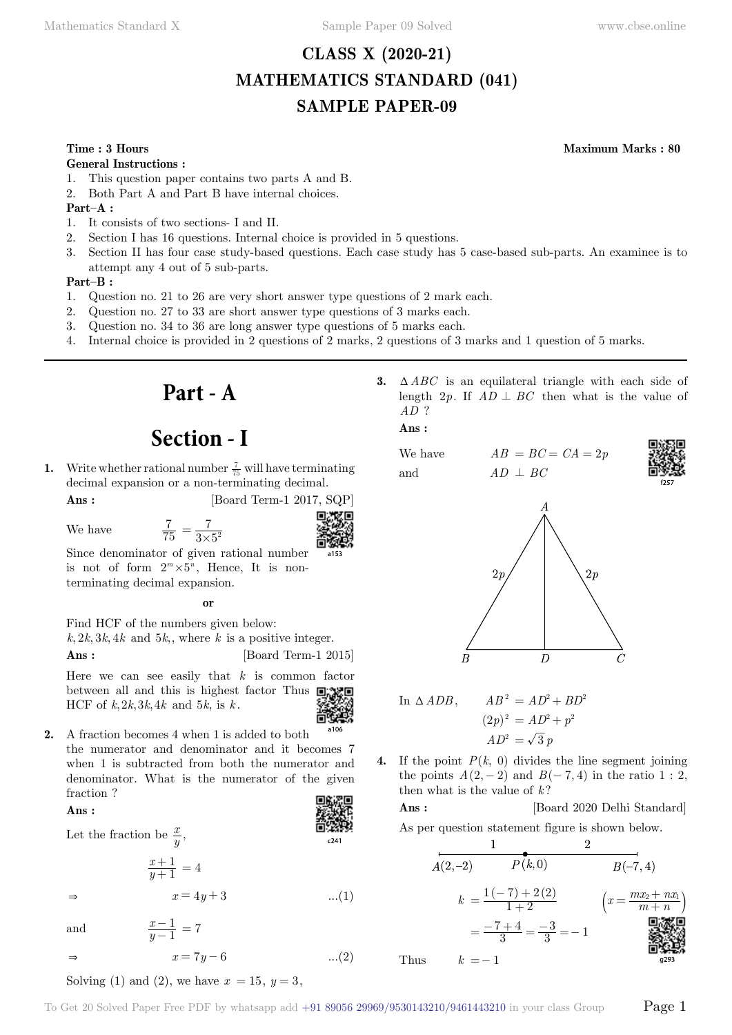# **CLASS X (2020-21) MATHEMATICS STANDARD (041) SAMPLE PAPER-09**

## **Time : 3 Hours Maximum Marks : 80**

### **General Instructions :**

- 1. This question paper contains two parts A and B.
- 2. Both Part A and Part B have internal choices.

## **Part–A :**

- 1. It consists of two sections- I and II.
- 2. Section I has 16 questions. Internal choice is provided in 5 questions.
- 3. Section II has four case study-based questions. Each case study has 5 case-based sub-parts. An examinee is to attempt any 4 out of 5 sub-parts.

### **Part–B :**

- 1. Question no. 21 to 26 are very short answer type questions of 2 mark each.
- 2. Question no. 27 to 33 are short answer type questions of 3 marks each.
- 3. Question no. 34 to 36 are long answer type questions of 5 marks each.
- 4. Internal choice is provided in 2 questions of 2 marks, 2 questions of 3 marks and 1 question of 5 marks.

# **Part - A**

# **Section - I**

**1.** Write whether rational number  $\frac{7}{75}$  will have terminating decimal expansion or a non-terminating decimal.

**Ans :** [Board Term-1 2017, SQP]

We have

$$
\frac{7}{75} = \frac{7}{3 \times 5^2}
$$



Since denominator of given rational number is not of form  $2^m \times 5^n$ , Hence, It is nonterminating decimal expansion.

 **o**

Find HCF of the numbers given below:  $k, 2k, 3k, 4k$  and  $5k$ ,, where *k* is a positive integer. **Ans :** [Board Term-1 2015]

Here we can see easily that *k* is common factor between all and this is highest factor Thus  $\Box$ HCF of  $k, 2k, 3k, 4k$  and  $5k$ , is  $k$ .



 $c241$ 

**2.** A fraction becomes 4 when 1 is added to both the numerator and denominator and it becomes 7 when 1 is subtracted from both the numerator and denominator. What is the numerator of the given fraction ?

 $x = 4y + 3$  ...(1)

 **Ans :**

Let the fraction be  $\frac{x}{y}$ ,

*y x* 1 1  $\frac{+1}{+1} = 4$ 

*y x* 1 1  $\frac{-1}{-1} = 7$ 

and

 $\Rightarrow$   $x = 7y - 6$  ...(2) Solving (1) and (2), we have  $x = 15$ ,  $y = 3$ ,

**3.**  $\triangle ABC$  is an equilateral triangle with each side of length 2*p*. If  $AD \perp BC$  then what is the value of *AD* ?

 **Ans :**

We have  $AB = BC = CA = 2p$ and  $AD \perp BC$ 





In 
$$
\triangle ADB
$$
,  $AB^2 = AD^2 + BD^2$   
\n
$$
(2p)^2 = AD^2 + p^2
$$
\n
$$
AD^2 = \sqrt{3}p
$$

**4.** If the point  $P(k, 0)$  divides the line segment joining the points  $A(2, -2)$  and  $B(-7, 4)$  in the ratio 1 : 2, then what is the value of  $k$ ?

**Ans :** [Board 2020 Delhi Standard]

As per question statement figure is shown below.

$$
A(2,-2) \t P(k,0) \t B(-7,4)
$$
  
\n
$$
k = \frac{1(-7) + 2(2)}{1+2} \t (x = \frac{mx_2 + nx_1}{m+n})
$$
  
\n
$$
= \frac{-7+4}{3} = \frac{-3}{3} = -1
$$
  
\nThus  $k = -1$ 

Thus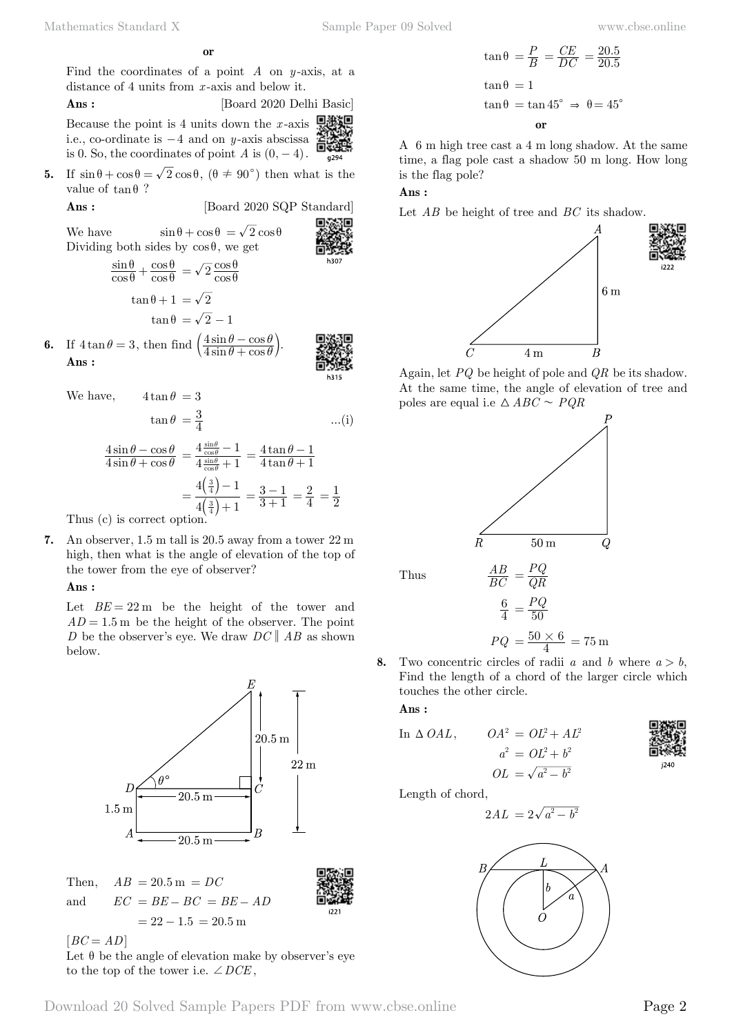$$
\mathbf{or} \\
$$

Find the coordinates of a point *A* on *y* -axis, at a distance of 4 units from *x* -axis and below it.

 **Ans :** [Board 2020 Delhi Basic]

回搬回 Because the point is 4 units down the *x* -axis i.e., co-ordinate is  $-4$  and on *y*-axis abscissa is 0. So, the coordinates of point  $A$  is  $(0, -4)$ .

**5.** If  $\sin \theta + \cos \theta = \sqrt{2} \cos \theta$ ,  $(\theta \neq 90^{\circ})$  then what is the value of  $\tan \theta$  ?

**Ans :** [Board 2020 SQP Standard]

We have  $\sin \theta + \cos \theta = \sqrt{2} \cos \theta$ Dividing both sides by  $\cos \theta$ , we get

$$
\frac{\sin \theta}{\cos \theta} + \frac{\cos \theta}{\cos \theta} = \sqrt{2} \frac{\cos \theta}{\cos \theta}
$$

$$
\tan \theta + 1 = \sqrt{2}
$$

$$
\tan \theta = \sqrt{2} - 1
$$

**6.** If  $4 \tan \theta = 3$ , then find  $\left(\frac{4 \sin \theta - \cos \theta}{4 \sin \theta + \cos \theta}\right)$ 4 4  $\theta$  +  $\cos \theta$  $\theta$  – cos  $\theta$  $\left(\frac{4\sin\theta-\cos\theta}{4\sin\theta+\cos\theta}\right).$  **Ans :**

We have, 
$$
4\tan\theta = 3
$$
  
\n $\tan\theta = \frac{3}{4}$  ...(i)

$$
\frac{4\sin\theta - \cos\theta}{4\sin\theta + \cos\theta} = \frac{4\frac{\sin\theta}{\cos\theta} - 1}{4\frac{\sin\theta}{\cos\theta} + 1} = \frac{4\tan\theta - 1}{4\tan\theta + 1}
$$

$$
= \frac{4\left(\frac{3}{4}\right) - 1}{4\left(\frac{3}{4}\right) + 1} = \frac{3 - 1}{3 + 1} = \frac{2}{4} = \frac{1}{2}
$$
Thus (c) is correct option

Thus (c) is correct option.

**7.** An observer, 1.5 m tall is 20.5 away from a tower 22 m high, then what is the angle of elevation of the top of the tower from the eye of observer?

### **Ans :**

Let  $BE = 22 \text{ m}$  be the height of the tower and  $AD = 1.5$  m be the height of the observer. The point *D* be the observer's eye. We draw  $DC \parallel AB$  as shown below.





 $[BC = AD]$ Let  $\theta$  be the angle of elevation make by observer's eye to the top of the tower i.e.  $\angle DCE$ ,

$$
\tan \theta = \frac{P}{B} = \frac{CE}{DC} = \frac{20.5}{20.5}
$$

$$
\tan \theta = 1
$$

$$
\tan \theta = \tan 45^{\circ} \implies \theta = 45^{\circ}
$$
or

A 6 m high tree cast a 4 m long shadow. At the same time, a flag pole cast a shadow 50 m long. How long is the flag pole?

# **Ans :**

Let *AB* be height of tree and *BC* its shadow.



Again, let *PQ* be height of pole and *QR* be its shadow. At the same time, the angle of elevation of tree and poles are equal i.e  $\triangle ABC \sim PQR$ 



**8.** Two concentric circles of radii *a* and *b* where  $a > b$ , Find the length of a chord of the larger circle which touches the other circle.

 **Ans :**

In 
$$
\triangle OAL
$$
,  $OA^2 = OL^2 + AL^2$   
\n $a^2 = OL^2 + b^2$   
\n $OL = \sqrt{a^2 - b^2}$ 

$$
\begin{array}{c}\n\begin{array}{c}\n\text{W} \\
\text{W} \\
\text{W} \\
\text{W} \\
\text{W} \\
\text{W} \\
\text{W} \\
\text{W} \\
\text{W} \\
\text{W} \\
\text{W} \\
\text{W} \\
\text{W} \\
\text{W} \\
\text{W} \\
\text{W} \\
\text{W} \\
\text{W} \\
\text{W} \\
\text{W} \\
\text{W} \\
\text{W} \\
\text{W} \\
\text{W} \\
\text{W} \\
\text{W} \\
\text{W} \\
\text{W} \\
\text{W} \\
\text{W} \\
\text{W} \\
\text{W} \\
\text{W} \\
\text{W} \\
\text{W} \\
\text{W} \\
\text{W} \\
\text{W} \\
\text{W} \\
\text{W} \\
\text{W} \\
\text{W} \\
\text{W} \\
\text{W} \\
\text{W} \\
\text{W} \\
\text{W} \\
\text{W} \\
\text{W} \\
\text{W} \\
\text{W} \\
\text{W} \\
\text{W} \\
\text{W} \\
\text{W} \\
\text{W} \\
\text{W} \\
\text{W} \\
\text{W} \\
\text{W} \\
\text{W} \\
\text{W} \\
\text{W} \\
\text{W} \\
\text{W} \\
\text{W} \\
\text{W} \\
\text{W} \\
\text{W} \\
\text{W} \\
\text{W} \\
\text{W} \\
\text{W} \\
\text{W} \\
\text{W} \\
\text{W} \\
\text{W} \\
\text{W} \\
\text{W} \\
\text{W} \\
\text{W} \\
\text{W} \\
\text{W} \\
\text{W} \\
\text{W} \\
\text{W} \\
\text{W} \\
\text{W} \\
\text{W} \\
\text{W} \\
\text{W} \\
\text{W} \\
\text{W} \\
\text{W} \\
\text{W} \\
\text{W} \\
\text{W} \\
\text{W} \\
\text{W} \\
\text{W} \\
\text{W} \\
\text{W} \\
\text{W} \\
\text{W} \\
\text{W} \\
\text{W} \\
\text{W} \\
\text{W} \\
\text{W} \\
\text{W} \\
\text{W} \\
\text{W} \\
\text{W} \\
\text{W} \\
\text{W} \\
\text{W} \\
\text{W} \\
\text{W} \\
\text{W} \\
\text{W} \\
\text{W} \\
\text{W} \\
\text{W} \\
\text{W} \\
$$

Length of chord,

$$
2AL = 2\sqrt{a^2 - b^2}
$$



i221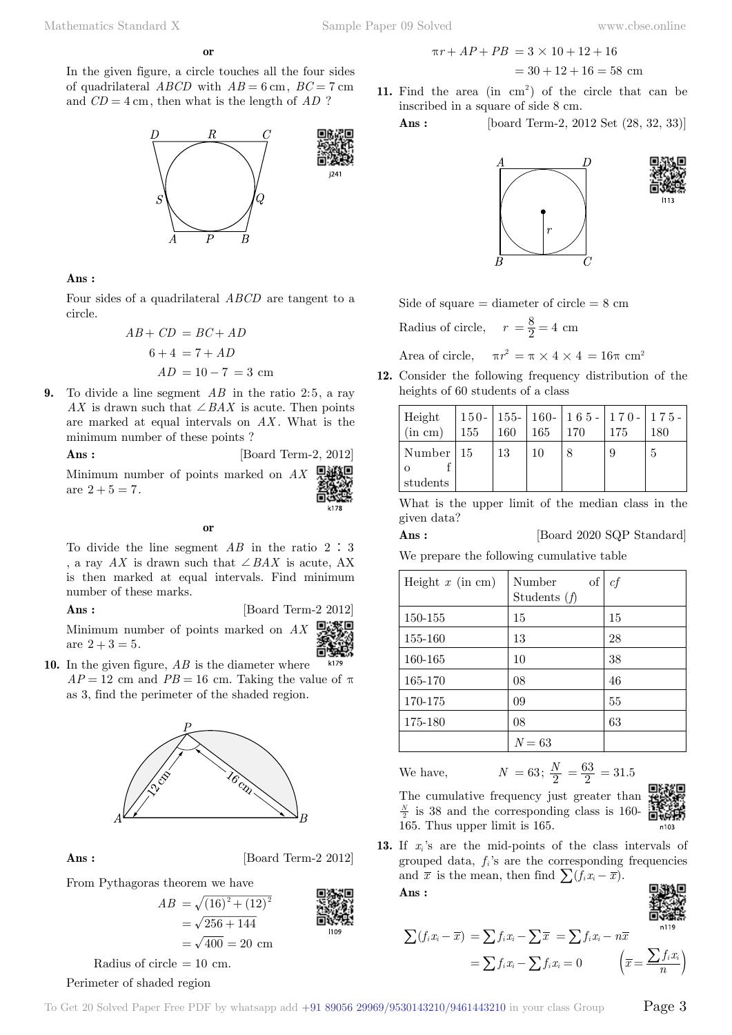$$
\mathbf{or}
$$

In the given figure, a circle touches all the four sides of quadrilateral  $ABCD$  with  $AB = 6$  cm,  $BC = 7$  cm and *CD* = 4 cm, then what is the length of *AD* ?



### **Ans :**

Four sides of a quadrilateral *ABCD* are tangent to a circle.

$$
AB + CD = BC + AD
$$
  

$$
6 + 4 = 7 + AD
$$
  

$$
AD = 10 - 7 = 3 \text{ cm}
$$

**9.** To divide a line segment AB in the ratio 2:5, a ray *AX* is drawn such that  $\angle BAX$  is acute. Then points are marked at equal intervals on AX. What is the minimum number of these points ?



Minimum number of points marked on *AX* are  $2 + 5 = 7$ .

 **o**

To divide the line segment  $AB$  in the ratio  $2:3$ , a ray  $AX$  is drawn such that  $\angle BAX$  is acute, AX is then marked at equal intervals. Find minimum number of these marks.

## **Ans :** [Board Term]

$$
AX = 2012
$$

Minimum number of points marked on are  $2 + 3 = 5$ .

**10.** In the given figure, *AB* is the diameter where  $AP = 12$  cm and  $PB = 16$  cm. Taking the value of  $\pi$ as 3, find the perimeter of the shaded region.



**Ans :** [Board Term-2 2012]





Radius of circle  $= 10$  cm.

# Perimeter of shaded region

$$
\pi r + AP + PB = 3 \times 10 + 12 + 16
$$
  
= 30 + 12 + 16 = 58 cm

11. Find the area  $(in cm<sup>2</sup>)$  of the circle that can be inscribed in a square of side 8 cm.

**Ans :** [board Term-2, 2012 Set (28, 32, 33)]









heights of 60 students of a class Height (in cm) 150- 155 155- 160 160- 165 165- 170 170- 175 175- 180 Number o f students 15 | 13 | 10 | 8 | 9 | 5

What is the upper limit of the median class in the given data?

### **Ans :** [Board 2020 SQP Standard]

We prepare the following cumulative table

Side of square  $=$  diameter of circle  $= 8 \text{ cm}$ 

Area of circle,  $\pi r^2 = \pi \times 4 \times 4 = 16\pi$  cm<sup>2</sup> **12.** Consider the following frequency distribution of the

Radius of circle,  $r = \frac{8}{2} = 4$  cm

| Height $x$ (in cm) | of<br>Number<br>Students $(f)$ | сf |
|--------------------|--------------------------------|----|
| 150-155            | 15                             | 15 |
| 155-160            | 13                             | 28 |
| 160-165            | 10                             | 38 |
| 165-170            | 08                             | 46 |
| 170-175            | 09                             | 55 |
| 175-180            | 08                             | 63 |
|                    | $N = 63$                       |    |

We have,  $N = 63; \frac{N}{2}$  $\frac{N}{2} = \frac{63}{2} = 31.5$ 



The cumulative frequency just greater than  $\frac{N}{2}$  is 38 and the corresponding class is 160-165. Thus upper limit is 165.

 $\sum (f_i x_i - \overline{x}) = \sum f_i x_i - \sum \overline{x} = \sum f_i x_i - n \overline{x}$ 

**13.** If *xi* 's are the mid-points of the class intervals of grouped data,  $f_i$ 's are the corresponding frequencies and  $\bar{x}$  is the mean, then find  $\sum (f_i x_i - \bar{x})$ .

 $=\sum f_i x_i - \sum f_i x_i = 0 \qquad \quad \left(\overline{x} = \frac{\sum f_i x_i}{n}\right)$ 

 **Ans :**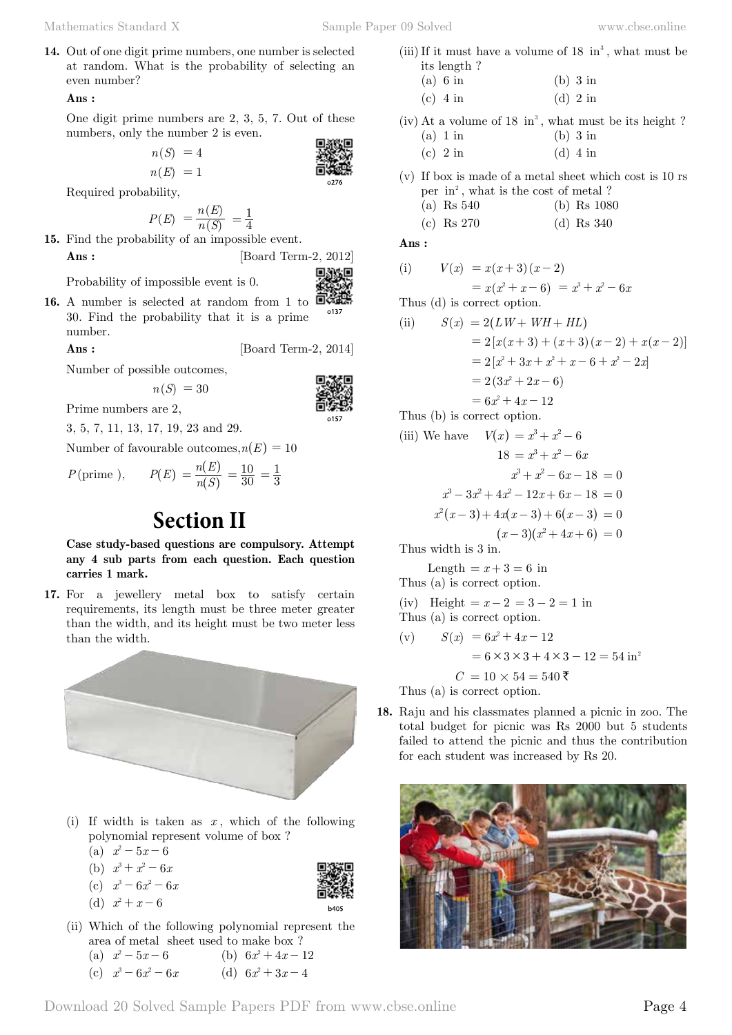**14.** Out of one digit prime numbers, one number is selected at random. What is the probability of selecting an even number?

## **Ans :**

One digit prime numbers are 2, 3, 5, 7. Out of these numbers, only the number 2 is even.

$$
n(S) = 4
$$
  
\n
$$
n(E) = 1
$$

Required probability,

$$
P(E) = \frac{n(E)}{n(S)} = \frac{1}{4}
$$

**15.** Find the probability of an impossible event.

**Ans :** [Board Term-2, 2012]

Probability of impossible event is 0.

*n S*( ) = 4

**16.** A number is selected at random from 1 to ■ o137 30. Find the probability that it is a prime number.

**Ans :** [Board Term-2, 2014]

Number of possible outcomes,

$$
n(S) = 30
$$



3, 5, 7, 11, 13, 17, 19, 23 and 29.

Number of favourable outcomes,  $n(E) = 10$ 

 $P(\text{prime }), \qquad P(E) = \frac{n(E)}{n(S)}$ 

Prime numbers are 2,

# **Section II**

**Case study-based questions are compulsory. Attempt any 4 sub parts from each question. Each question carries 1 mark.**

 $\left( S\right)$  $\big)$   $=\frac{10}{30}=\frac{1}{3}$ 

**17.** For a jewellery metal box to satisfy certain requirements, its length must be three meter greater than the width, and its height must be two meter less than the width.



- (i) If width is taken as *x* , which of the following polynomial represent volume of box ?
	- (a)  $x^2 5x 6$
	- (b)  $x^3 + x^2 6x$
	- (c)  $x^3 6x^2 6x$
	- (d)  $x^2 + x 6$
- (ii) Which of the following polynomial represent the area of metal sheet used to make box ? (a)  $x^2 - 5x - 6$  (b)  $6x^2 + 4x - 12$

(c) 
$$
x^3 - 6x^2 - 6x
$$
 (d)  $6x^2 + 3x - 4$ 

(iii) If it must have a volume of  $18 \text{ in}^3$ , what must be its length ?

(a) 6 in (b) 3 in (c)  $4 \text{ in}$  (d)  $2 \text{ in}$ 

(iv) At a volume of  $18 \text{ in}^3$ , what must be its height ?

- (a)  $1 \text{ in}$  (b)  $3 \text{ in}$ (c) 2 in (d) 4 in
- (v) If box is made of a metal sheet which cost is 10 rs per  $in^2$ , what is the cost of metal ?
	- (a) Rs 540 (b) Rs 1080
	- (c) Rs 270 (d) Rs 340

 **Ans :**

(i) 
$$
V(x) = x(x+3)(x-2)
$$

$$
= x(x^2 + x - 6) = x^3 + x^2 - 6x
$$

Thus (d) is correct option.

(ii) 
$$
S(x) = 2(LW + WH + HL)
$$

$$
= 2[x(x+3) + (x+3)(x-2) + x(x-2)]
$$

$$
= 2[x^2 + 3x + x^2 + x - 6 + x^2 - 2x]
$$

$$
= 2(3x^2 + 2x - 6)
$$

$$
= 6x^2 + 4x - 12
$$
Thus (b) is correct option

Thus (b) is correct option.

(iii) We have 
$$
V(x) = x^3 + x^2 - 6
$$

$$
18 = x^3 + x^2 - 6x
$$

$$
x^3 + x^2 - 6x - 18 = 0
$$

$$
x^3 - 3x^2 + 4x^2 - 12x + 6x - 18 = 0
$$

$$
x^2(x-3) + 4x(x-3) + 6(x-3) = 0
$$

$$
(x-3)(x^2 + 4x + 6) = 0
$$

Thus width is 3 in.

Length =  $x + 3 = 6$  in Thus (a) is correct option.

(iv) Height = 
$$
x-2 = 3-2 = 1
$$
 in  
Thus (a) is correct option.

(v) 
$$
S(x) = 6x^2 + 4x - 12
$$
  
= 6 × 3 × 3 + 4 × 3 - 12 = 54 in<sup>2</sup>  
 $C = 10 × 54 = 540$  ₹  
Thus (a) is correct option.

**18.** Raju and his classmates planned a picnic in zoo. The total budget for picnic was Rs 2000 but 5 students failed to attend the picnic and thus the contribution for each student was increased by Rs 20.

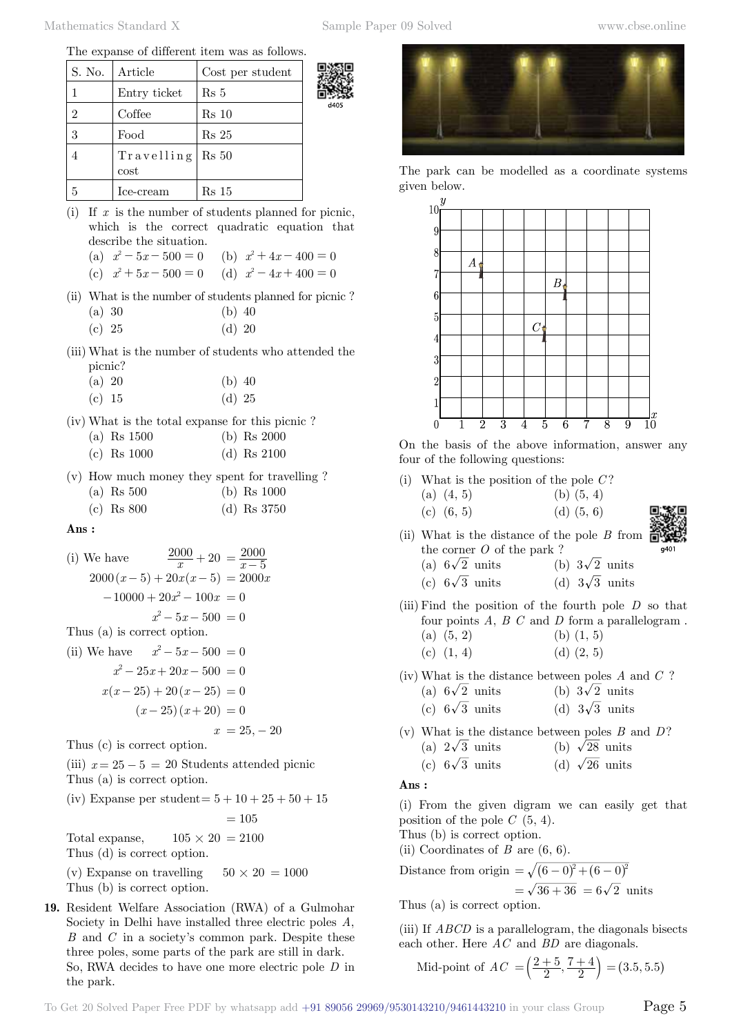The expanse of different item was as follows.

| S. No. | Article                | Cost per student |    |
|--------|------------------------|------------------|----|
|        | Entry ticket           | Rs 5             | ř. |
| 2      | Coffee                 | Rs 10            |    |
| 3      | Food                   | $Rs\ 25$         |    |
|        | Travelling<br>$\cos t$ | Rs 50            |    |
| 5      | Ice-cream              | Rs 15            |    |

- (i) If *x* is the number of students planned for picnic, which is the correct quadratic equation that describe the situation.
	- (a)  $x^2 5x 500 = 0$  (b)  $x^2 + 4x 400 = 0$

(c) 
$$
x^2 + 5x - 500 = 0
$$
 (d)  $x^2 - 4x + 400 = 0$ 

- (ii) What is the number of students planned for picnic ?
	- (a) 30 (b) 40
	- (c) 25 (d) 20
- (iii) What is the number of students who attended the picnic?

| $(a)$ 20 | $(b)$ 40 |  |
|----------|----------|--|
| (c) 15   | $(d)$ 25 |  |

- (iv) What is the total expanse for this picnic ?
	- (a) Rs 1500 (b) Rs 2000
	- (c) Rs 1000 (d) Rs 2100
- (v) How much money they spent for travelling ? (a) Rs 500 (b) Rs 1000
	- (c) Rs 800 (d) Rs 3750

 **Ans :**

(i) We have  $\frac{2000}{x} + 20 = \frac{2000}{x - 5}$  $2000(x-5) + 20x(x-5) = 2000x$  $-10000 + 20x^2 - 100x = 0$  $x^2 - 5x - 500 = 0$ Thus (a) is correct option. (ii) We have  $x^2 - 5x - 500 = 0$  $x^2 - 25x + 20x - 500 = 0$  $x(x-25) + 20(x-25) = 0$  $(x - 25)(x + 20) = 0$  $x = 25, -20$ Thus (c) is correct option.

(iii)  $x = 25 - 5 = 20$  Students attended picnic Thus (a) is correct option.

(iv) Expanse per student=  $5 + 10 + 25 + 50 + 15$ 

 $= 105$ 

Total expanse,  $105 \times 20 = 2100$ Thus (d) is correct option.

(v) Expanse on travelling  $50 \times 20 = 1000$ Thus (b) is correct option.

**19.** Resident Welfare Association (RWA) of a Gulmohar Society in Delhi have installed three electric poles *A*, *B* and *C* in a society's common park. Despite these three poles, some parts of the park are still in dark. So, RWA decides to have one more electric pole *D* in the park.



The park can be modelled as a coordinate systems given below.



On the basis of the above information, answer any four of the following questions:

(i) What is the position of the pole *C* ?

| $(a)$ $(4, 5)$ | (b) $(5, 4)$ |
|----------------|--------------|
| $(c)$ $(6, 5)$ | (d) $(5, 6)$ |

(ii) What is the distance of the pole *B* from the corner *O* of the park ?

(a) 
$$
6\sqrt{2}
$$
 units (b)  $3\sqrt{2}$  units

- (c)  $6\sqrt{3}$  units (d)  $3\sqrt{3}$  units
- (iii) Find the position of the fourth pole *D* so that four points *A*, *B C* and *D* form a parallelogram . (a)  $(5, 2)$  (b)  $(1, 5)$ (c)  $(1, 4)$  (d)  $(2, 5)$
- (iv) What is the distance between poles *A* and *C* ?
	- (a)  $6\sqrt{2}$  units (b)  $3\sqrt{2}$  units
	- (c)  $6\sqrt{3}$  units (d)  $3\sqrt{3}$  units
- (v) What is the distance between poles *B* and *D*? (a)  $2\sqrt{3}$  units (b)  $\sqrt{28}$  units

(c) 
$$
6\sqrt{3}
$$
 units (d)  $\sqrt{26}$  units

 **Ans :**

(i) From the given digram we can easily get that position of the pole *C* (5, 4).

Thus (b) is correct option.

(ii) Coordinates of  $B$  are  $(6, 6)$ .

Distance from origin =  $\sqrt{(6 - 0)^2 + (6 - 0)^2}$  $=\sqrt{36 + 36} = 6\sqrt{2}$  units

Thus (a) is correct option.

(iii) If *ABCD* is a parallelogram, the diagonals bisects each other. Here *AC* and *BD* are diagonals.

Mid-point of 
$$
AC = \left(\frac{2+5}{2}, \frac{7+4}{2}\right) = (3.5, 5.5)
$$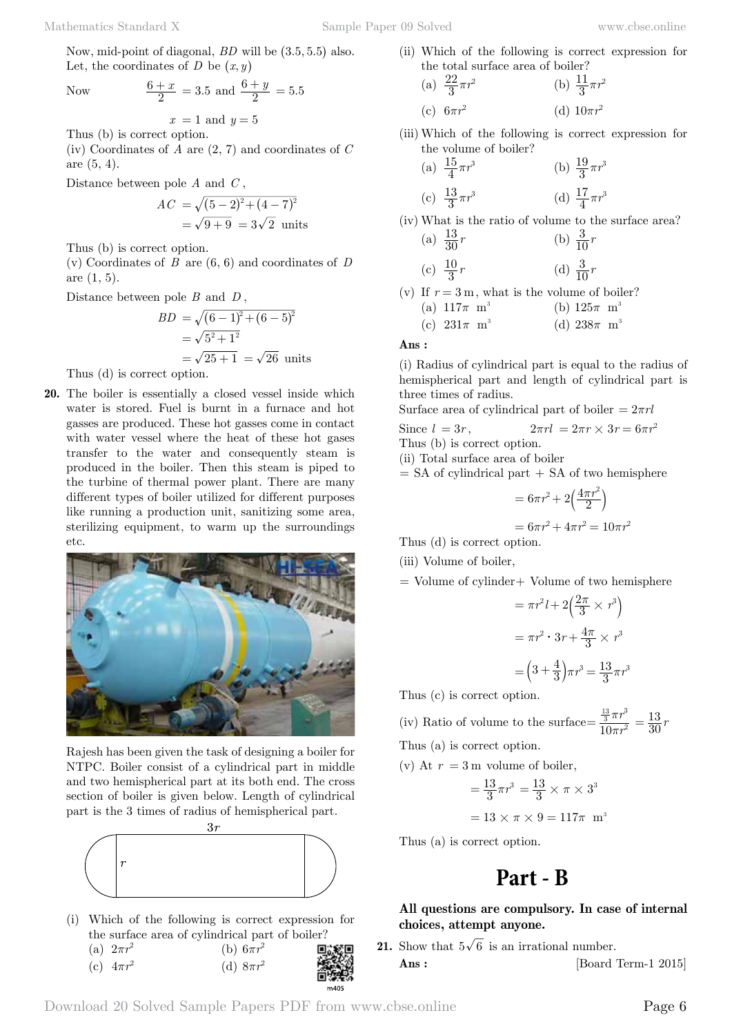Now *<sup>x</sup>*

$$
\frac{6+x}{2} = 3.5
$$
 and 
$$
\frac{6+y}{2} = 5.5
$$

 $x = 1$  and  $y = 5$ Thus (b) is correct option.

(iv) Coordinates of *A* are (2, 7) and coordinates of *C* are (5, 4).

Distance between pole *A* and *C* ,

$$
AC = \sqrt{(5-2)^2 + (4-7)^2}
$$
  
=  $\sqrt{9+9} = 3\sqrt{2}$  units

Thus (b) is correct option.

(v) Coordinates of *B* are (6, 6) and coordinates of *D* are (1, 5).

Distance between pole *B* and *D* ,

$$
BD = \sqrt{(6-1)^2 + (6-5)^2}
$$
  
=  $\sqrt{5^2 + 1^2}$   
=  $\sqrt{25 + 1} = \sqrt{26}$  units

Thus (d) is correct option.

**20.** The boiler is essentially a closed vessel inside which water is stored. Fuel is burnt in a furnace and hot gasses are produced. These hot gasses come in contact with water vessel where the heat of these hot gases transfer to the water and consequently steam is produced in the boiler. Then this steam is piped to the turbine of thermal power plant. There are many different types of boiler utilized for different purposes like running a production unit, sanitizing some area, sterilizing equipment, to warm up the surroundings etc.



Rajesh has been given the task of designing a boiler for NTPC. Boiler consist of a cylindrical part in middle and two hemispherical part at its both end. The cross section of boiler is given below. Length of cylindrical part is the 3 times of radius of hemispherical part.



(i) Which of the following is correct expression for the surface area of cylindrical part of boiler?

| (a) $2\pi r^2$ | (b) $6\pi r^2$ |                |
|----------------|----------------|----------------|
| (c) $4\pi r^2$ | (d) $8\pi r^2$ | District<br>高等 |

(ii) Which of the following is correct expression for the total surface area of boiler?  $(1)$   $22$   $2$ <sup>11</sup> <sup>2</sup> *<sup>π</sup>*

(a) 
$$
\frac{22}{3}\pi r^2
$$
 (b)  $\frac{11}{3}\pi r^2$   
(c)  $6\pi r^2$  (d)  $10\pi r^2$ 

(iii) Which of the following is correct expression for the volume of boiler?

(a) 
$$
\frac{15}{4}\pi r^3
$$
 (b)  $\frac{19}{3}\pi r^3$ 

(c) 
$$
\frac{13}{3}\pi r^3
$$
 (d)  $\frac{17}{4}\pi r^3$ 

(iv) What is the ratio of volume to the surface area? (a)  $\frac{13}{30}r$  $\frac{13}{30}r$  (b)  $\frac{3}{10}r$ 

(c) 
$$
\frac{10}{3}r
$$
 (d)  $\frac{3}{10}r$ 

(v) If  $r = 3$  m, what is the volume of boiler? (a)  $117\pi \text{ m}^3$  (b)  $125\pi \text{ m}^3$ 

(c) 
$$
231\pi
$$
 m<sup>3</sup> (d)  $238\pi$  m<sup>3</sup>

 **Ans :**

(i) Radius of cylindrical part is equal to the radius of hemispherical part and length of cylindrical part is three times of radius.

Surface area of cylindrical part of boiler  $= 2\pi r l$ 

Since 
$$
l = 3r
$$
,  $2\pi rl = 2\pi r \times 3r = 6\pi r^2$ 

Thus (b) is correct option.

(ii) Total surface area of boiler

 $=$  SA of cylindrical part  $+$  SA of two hemisphere

$$
= 6\pi r^2 + 2\left(\frac{4\pi r^2}{2}\right)
$$

$$
= 6\pi r^2 + 4\pi r^2 = 10\pi r^2
$$

Thus (d) is correct option.

(iii) Volume of boiler,

= Volume of cylinder+ Volume of two hemisphere

$$
= \pi r^2 l + 2\left(\frac{2\pi}{3} \times r^3\right)
$$

$$
= \pi r^2 \cdot 3r + \frac{4\pi}{3} \times r^3
$$

$$
= \left(3 + \frac{4}{3}\right)\pi r^3 = \frac{13}{3}\pi r^3
$$

Thus (c) is correct option.

(iv) Ratio of volume to the surface  $=\frac{3}{10\pi r}$ *r*  $\frac{\frac{13}{3}\pi r^3}{10\pi r^2}$  $=\frac{\frac{13}{3}\pi r^3}{10\pi r^2}=\frac{13}{30}r$ 

Thus (a) is correct option.

(v) At  $r = 3$  m volume of boiler,

$$
= \frac{13}{3}\pi r^3 = \frac{13}{3} \times \pi \times 3^3
$$

$$
= 13 \times \pi \times 9 = 117\pi \text{ m}^3
$$

Thus (a) is correct option.

# **Part - B**

# **All questions are compulsory. In case of internal choices, attempt anyone.**

**21.** Show that  $5\sqrt{6}$  is an irrational number. **Ans :** [Board Term-1 2015]

 $m405$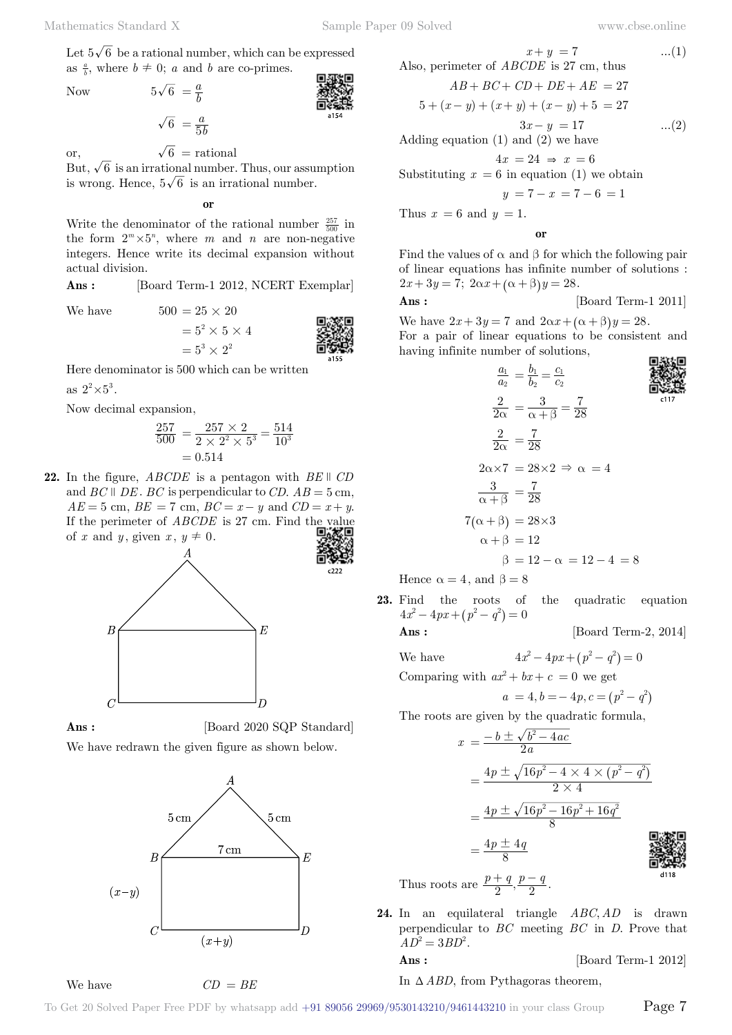Let  $5\sqrt{6}$  be a rational number, which can be expressed as  $\frac{a}{b}$ , where  $b \neq 0$ ; *a* and *b* are co-primes.

Now  $5\sqrt{6} = \frac{a}{b}$ 

 $\overline{6} = \frac{a}{5b}$ 

or,  $\sqrt{6}$  = rational

But,  $\sqrt{6}$  is an irrational number. Thus, our assumption is wrong. Hence,  $5\sqrt{6}$  is an irrational number.

 **o**

Write the denominator of the rational number  $\frac{257}{500}$  in the form  $2^m \times 5^n$ , where *m* and *n* are non-negative integers. Hence write its decimal expansion without actual division.

Ans : [Board Term-1 2012, NCERT Exemplar]

We have  $500 = 25 \times 20$ 

$$
= 52 \times 5 \times 4
$$
\n
$$
= 53 \times 22
$$
\n
$$
= 53 \times 22
$$
\n9.3133

Here denominator is 500 which can be written

as  $2^2 \times 5^3$ .

Now decimal expansion,

$$
\frac{257}{500} = \frac{257 \times 2}{2 \times 2^2 \times 5^3} = \frac{514}{10^3}
$$

$$
= 0.514
$$

**22.** In the figure,  $ABCDE$  is a pentagon with  $BE \parallel CD$ and *BC*  $\parallel$  *DE*. *BC* is perpendicular to *CD*.  $AB = 5$  cm,  $AE = 5$  cm,  $BE = 7$  cm,  $BC = x - y$  and  $CD = x + y$ . If the perimeter of *ABCDE* is 27 cm. Find the value of *x* and *y*, given *x*,  $y \neq 0$ .





**Ans :** [Board 2020 SQP Standard]

We have redrawn the given figure as shown below.



We have *CD* = *BE*

Also, perimeter of *ABCDE* is 27 cm, thus  
\n
$$
AB + BC + CD + DE + AE = 27
$$
  
\n $5 + (x - y) + (x + y) + (x - y) + 5 = 27$   
\n $3x - y = 17$  ...(2)

Adding equation (1) and (2) we have

 $4x = 24 \Rightarrow x = 6$ 

Substituting  $x = 6$  in equation (1) we obtain

$$
y = 7 - x = 7 - 6 = 1
$$

Thus  $x = 6$  and  $y = 1$ .

 **o**

Find the values of  $\alpha$  and  $\beta$  for which the following pair of linear equations has infinite number of solutions :  $2x + 3y = 7$ ;  $2\alpha x + (\alpha + \beta)y = 28$ .

**Ans :** [Board Term-1 2011]

We have  $2x + 3y = 7$  and  $2\alpha x + (\alpha + \beta)y = 28$ .

For a pair of linear equations to be consistent and having infinite number of solutions,



Hence  $\alpha = 4$ , and  $\beta = 8$ 

**23.** Find the roots of the quadratic equation  $4x^2 - 4px + (p^2 - q^2) = 0$ 

**Ans :** [Board Term-2, 2014]

We have  $4x^2 - 4px + (p^2 - q^2) = 0$ 

Comparing with  $ax^2 + bx + c = 0$  we get

$$
a = 4, b = -4p, c = (p2 - q2)
$$

The roots are given by the quadratic formula,

$$
x = \frac{-b \pm \sqrt{b^2 - 4ac}}{2a}
$$
  
=  $\frac{4p \pm \sqrt{16p^2 - 4 \times 4 \times (p^2 - q^2)}}{2 \times 4}$   
=  $\frac{4p \pm \sqrt{16p^2 - 16p^2 + 16q^2}}{8}$   
=  $\frac{4p \pm 4q}{8}$   
=  $\frac{4p \pm 4q}{8}$   
=  $\frac{4p \pm 4q}{8}$ 

Thus roots are  $\frac{p+q}{2}, \frac{p-q}{2}$ .

24. In an equilateral triangle *ABC*, *AD* is drawn perpendicular to *BC* meeting *BC* in *D*. Prove that  $AD^2 = 3BD^2$ .

**Ans :** [Board Term-1 2012]

In  $\triangle ABD$ , from Pythagoras theorem,

To Get 20 Solved Paper Free PDF by whatsapp add  $+91\,89056\,29969/9530143210/9461443210$  in your class Group  $\qquad$   $\qquad$   $\qquad$   $\qquad$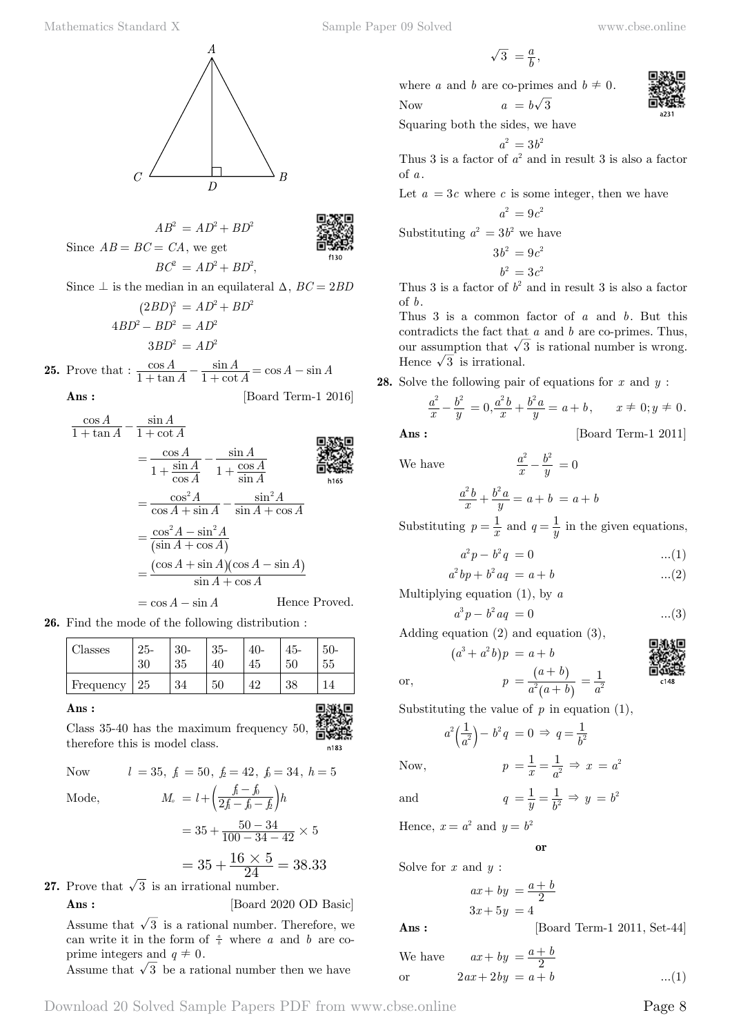$\overline{A}$  $\overline{B}$  $\overline{C}$ 

 $AB^2 = AD^2 + BD^2$ Since  $AB = BC = CA$ , we get  $BC^{2} = AD^{2} + BD^{2}$ ,

Since  $\perp$  is the median in an equilateral  $\triangle$ ,  $BC = 2BD$  $(2BD)^2 = AD^2 + BD^2$ 

$$
(2DD) = AD + DD
$$

$$
ABD2 - BD2 = AD2
$$

$$
3BD2 = AD2
$$

**25.** Prove that :  $\frac{\cos A}{1 + \tan A}$ cot sin *A A A*  $\frac{\cos A}{1 + \tan A} - \frac{\sin A}{1 + \cot A} = \cos A - \sin A$ **Ans :** [Board Term-1 2016]

 $\frac{\cos A}{1 + \tan A} - \frac{\sin A}{1 + \cot A}$ cos *A* sin tan *A* cot *A* cos *A* sin *A* = − sin *A* cos *A*  $1 + \frac{\sin A}{\cos A}$  1  $^{+}$  $^{+}$ cos *A* sin *A* h165  $= \frac{\cos^2 A}{\cos A + \sin A} - \frac{\sin^2 A}{\sin A + \cos A}$  $=\frac{\cos^2 A}{\cos A+\sin A}$ *A* sin  $A + \sin A$  $\sin A + \cos A$  $A + \cos A$  $=\frac{\cos^2 A - \sin A}{(\sin A + \cos A)}$  $=\frac{\cos^2 A-\sin^2 A}{(\sin A+\cos A)}$  $A + \cos A$  $\left( \sin A + \cos A \right)$  $=\frac{(\cos A + \sin A)(\cos A - \sin A)}{\sin A + \cos A}$  $=\frac{(\cos A + \sin A)(\cos A - \sin A)}{\sin A + \cos A}$ 

$$
= \cos A - \sin A
$$
 Hence Proved.

**26.** Find the mode of the following distribution :

| Classes   | $25 -$<br>30 | $30-$<br>35 | $35-$ | 40-<br>45 | 45-<br>50 | $50-$<br>55 |
|-----------|--------------|-------------|-------|-----------|-----------|-------------|
| Frequency | 25           | 34          | 50    | 19        | 38        |             |

$$
\mathbf{Ans}:
$$

Class 35-40 has the maximum frequency 50, therefore this is model class.

Now 
$$
l = 35
$$
,  $f_1 = 50$ ,  $f_2 = 42$ ,  $f_0 = 34$ ,  $h = 5$   
Mode,  $M_0 = l + \left(\frac{f_1 - f_0}{2f_1 - f_0 - f_2}\right)h$ 

Mode,

\n
$$
M_{o} = l + \left(\frac{\hbar - \hbar}{2f - f_{o}} - \frac{1}{f_{o}}\right)h
$$
\n
$$
= 35 + \frac{50 - 34}{100 - 34 - 42} \times 5
$$
\n
$$
= 35 + \frac{16 \times 5}{24} = 38.33
$$

**27.** Prove that  $\sqrt{3}$  is an irrational number. **Ans :** [Board 2020 OD Basic]

Assume that  $\sqrt{3}$  is a rational number. Therefore, we can write it in the form of  $\frac{a}{b}$  where *a* and *b* are coprime integers and  $q \neq 0$ .

Assume that  $\sqrt{3}$  be a rational number then we have

$$
\sqrt{3} = \frac{a}{b},
$$

where *a* and *b* are co-primes and  $b \neq 0$ .

Now 
$$
a = b\sqrt{3}
$$

Squaring both the sides, we have

$$
a^2 = 3b^2
$$

Thus 3 is a factor of  $a^2$  and in result 3 is also a factor of *a* .

Let  $a = 3c$  where c is some integer, then we have

$$
a^2 = 9c^2
$$

Substituting 
$$
a^2 = 3b^2
$$
 we have

$$
3b^2 = 9c^2
$$

$$
b^2 = 3c^2
$$

Thus 3 is a factor of  $b^2$  and in result 3 is also a factor of *b*.

Thus 3 is a common factor of *a* and *b*. But this contradicts the fact that *a* and *b* are co-primes. Thus, our assumption that  $\sqrt{3}$  is rational number is wrong. Hence  $\sqrt{3}$  is irrational.

**28.** Solve the following pair of equations for *x* and *y* :

$$
\frac{a^2}{x} - \frac{b^2}{y} = 0,\\ \frac{a^2b}{x} + \frac{b^2a}{y} = a + b, \qquad x \neq 0; y \neq 0.
$$

**Ans :** [Board Term-1 2011]

We have

$$
\frac{a^2b}{x} + \frac{b^2a}{y} = a + b = a + b
$$

*x a*

Substituting  $p = \frac{1}{x}$  and  $q = \frac{1}{y}$  in the given equations,

*y*  $\frac{b^2}{a} - \frac{b^2}{a} = 0$ 

$$
a^2 p - b^2 q = 0 \tag{1}
$$

$$
a^2bp + b^2aq = a + b \qquad \qquad \dots (2)
$$

Multiplying equation (1), by *a*

$$
a^3 p - b^2 a q = 0 \tag{3}
$$

 $=\frac{1}{a^2}$ 

Adding equation (2) and equation (3),

$$
(a3 + a2 b)p = a + b
$$

$$
p = \frac{(a+b)}{a+b}
$$

$$
\begin{matrix}\n\mathbf{1}_{\mathbf{1}_{\mathbf{1}_{\mathbf{3}}}} \\
\mathbf{1}_{\mathbf{1}_{\mathbf{3}}}} \\
\mathbf{1}_{\mathbf{1}_{\mathbf{4}}}\n\end{matrix}
$$

or, 
$$
p = \frac{(a+b)}{a^2(a+b)}
$$

Substituting the value of  $p$  in equation  $(1)$ ,

$$
a^2 \left( \frac{1}{a^2} \right) - b^2 q = 0 \Rightarrow q = \frac{1}{b^2}
$$

Now, 
$$
p = \frac{1}{x} = \frac{1}{a^2} \Rightarrow x = a^2
$$

and  $q = \frac{1}{y} = \frac{1}{b^2} \Rightarrow y = b^2$ 

Hence,  $x = a^2$  and  $y = b^2$ 

$$
\quad \text{or} \quad
$$

Solve for *x* and *y* :

 $ax + by = \frac{a+b}{2}$  $3x + 5y = 4$ 

**Ans :** [Board Term-1 2011, Set-44]

We have 
$$
ax + by = \frac{a+b}{2}
$$
  
or  $2ax + 2by = a + b$  ...(1)



n183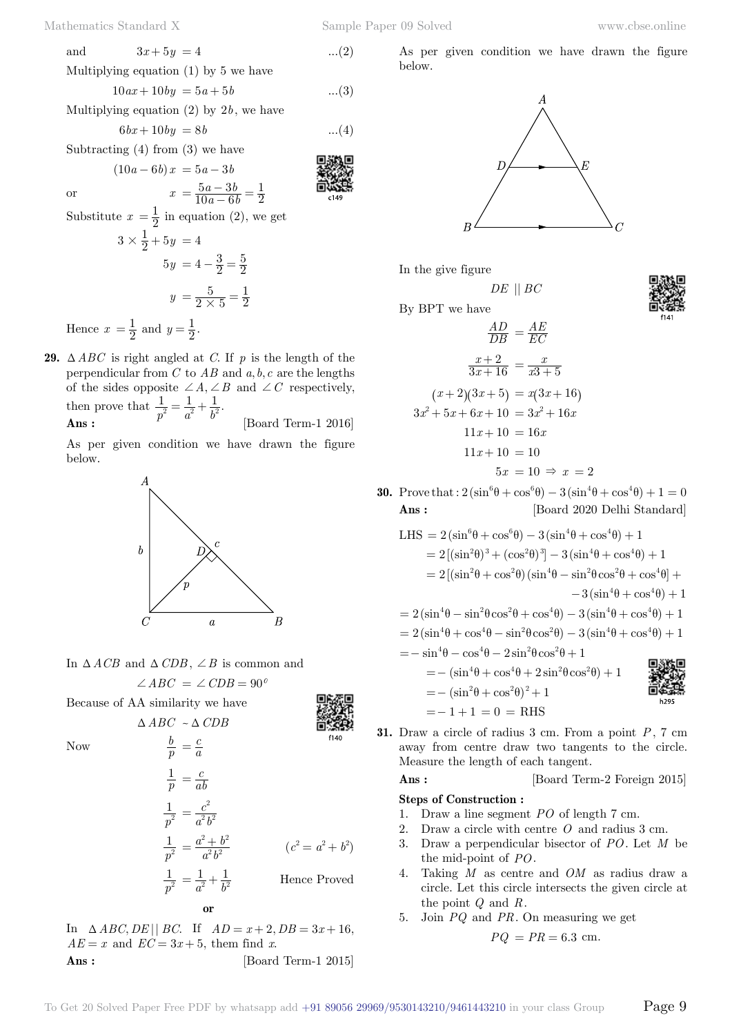$6bx + 10by = 8b$  ...(4)

 $5a-3$ 

Subtracting (4) from (3) we have

or 
$$
x = \frac{5a - 3b}{10a - 6b} = \frac{1}{2}
$$
  
Substitute  $x = \frac{1}{2}$  in equation (2), we get

 $( 10a - 6b) x = 5a - 3b$ 

$$
3 \times \frac{1}{2} + 5y = 4
$$
  

$$
5y = 4 - \frac{3}{2} = \frac{5}{2}
$$
  

$$
y = \frac{5}{2 \times 5} = \frac{1}{2}
$$

Hence  $x = \frac{1}{2}$  and  $y = \frac{1}{2}$ .

**29.**  $\triangle ABC$  is right angled at *C*. If *p* is the length of the perpendicular from  $C$  to  $AB$  and  $a, b, c$  are the lengths of the sides opposite  $\angle A, \angle B$  and  $\angle C$  respectively, then prove that  $\frac{1}{p^2} = \frac{1}{a^2} + \frac{1}{b^2}$ .

 $\mathbf{Ans:} \quad \begin{array}{ccc} p & a & o \\ & & \end{array} \quad \text{[Board Term-1 2016]}$ 

As per given condition we have drawn the figure below.



In  $\triangle ACB$  and  $\triangle CDB$ ,  $\angle B$  is common and  $\angle ABC = \angle CDB = 90^{\circ}$ 

 $\triangle ABC \sim \triangle CDB$ 

*b*

Because of AA similarity we have



Now

$$
\frac{b}{p} = \frac{c}{a}
$$
\n
$$
\frac{1}{p} = \frac{c}{ab}
$$
\n
$$
\frac{1}{p^2} = \frac{c^2}{a^2 b^2}
$$
\n
$$
\frac{1}{p^2} = \frac{a^2 + b^2}{a^2 b^2}
$$
\n
$$
\frac{1}{p^2} = \frac{1}{a^2 b^2}
$$
\n
$$
\frac{1}{p^2} = \frac{1}{a^2} + \frac{1}{b^2}
$$
\nHence Proved

In  $\Delta ABC, DE \parallel BC$ . If  $AD = x + 2, DB = 3x + 16$ ,  $AE = x$  and  $EC = 3x + 5$ , them find *x*. **Ans :** [Board Term-1 2015]

 **o**

As per given condition we have drawn the figure below.



In the give figure

By BPT we have

$$
\frac{AD}{DB} = \frac{AE}{EC}
$$

$$
\frac{x+2}{3x+16} = \frac{x}{x3+5}
$$

$$
(x+2)(3x+5) = x(3x+16)
$$

$$
3x^2 + 5x + 6x + 10 = 3x^2 + 16x
$$

$$
11x + 10 = 16x
$$

$$
11x + 10 = 10
$$

$$
5x = 10 \Rightarrow x = 2
$$

*DE* || *BC*

**30.** Prove that :  $2\left(\sin^6\theta + \cos^6\theta\right) - 3\left(\sin^4\theta + \cos^4\theta\right) + 1 = 0$ **Ans :** [Board 2020 Delhi Standard]

LHS = 
$$
2(\sin^6 \theta + \cos^6 \theta) - 3(\sin^4 \theta + \cos^4 \theta) + 1
$$
  
\n=  $2[(\sin^2 \theta)^3 + (\cos^2 \theta)^3] - 3(\sin^4 \theta + \cos^4 \theta) + 1$   
\n=  $2[(\sin^2 \theta + \cos^2 \theta)(\sin^4 \theta - \sin^2 \theta \cos^2 \theta + \cos^4 \theta] +$   
\n $- 3(\sin^4 \theta + \cos^4 \theta) + 1$   
\n=  $2(\sin^4 \theta - \sin^2 \theta \cos^2 \theta + \cos^4 \theta) - 3(\sin^4 \theta + \cos^4 \theta) + 1$   
\n=  $2(\sin^4 \theta + \cos^4 \theta - \sin^2 \theta \cos^2 \theta) - 3(\sin^4 \theta + \cos^4 \theta) + 1$   
\n=  $-\sin^4 \theta - \cos^4 \theta - 2\sin^2 \theta \cos^2 \theta + 1$   
\n=  $-(\sin^4 \theta + \cos^4 \theta + 2\sin^2 \theta \cos^2 \theta) + 1$   
\n=  $-(\sin^2 \theta + \cos^2 \theta)^2 + 1$   
\n=  $-1 + 1 = 0$  = RHS

**31.** Draw a circle of radius 3 cm. From a point *P*, 7 cm away from centre draw two tangents to the circle. Measure the length of each tangent.

**Ans :** [Board Term-2 Foreign 2015]

### **Steps of Construction :**

- 1. Draw a line segment *PO* of length 7 cm.
- 2. Draw a circle with centre *O* and radius 3 cm.
- 3. Draw a perpendicular bisector of *PO*. Let *M* be the mid-point of *PO*.
- 4. Taking *M* as centre and *OM* as radius draw a circle. Let this circle intersects the given circle at the point *Q* and *R*.
- 5. Join *PQ* and *PR*. On measuring we get

$$
PQ = PR = 6.3
$$
 cm.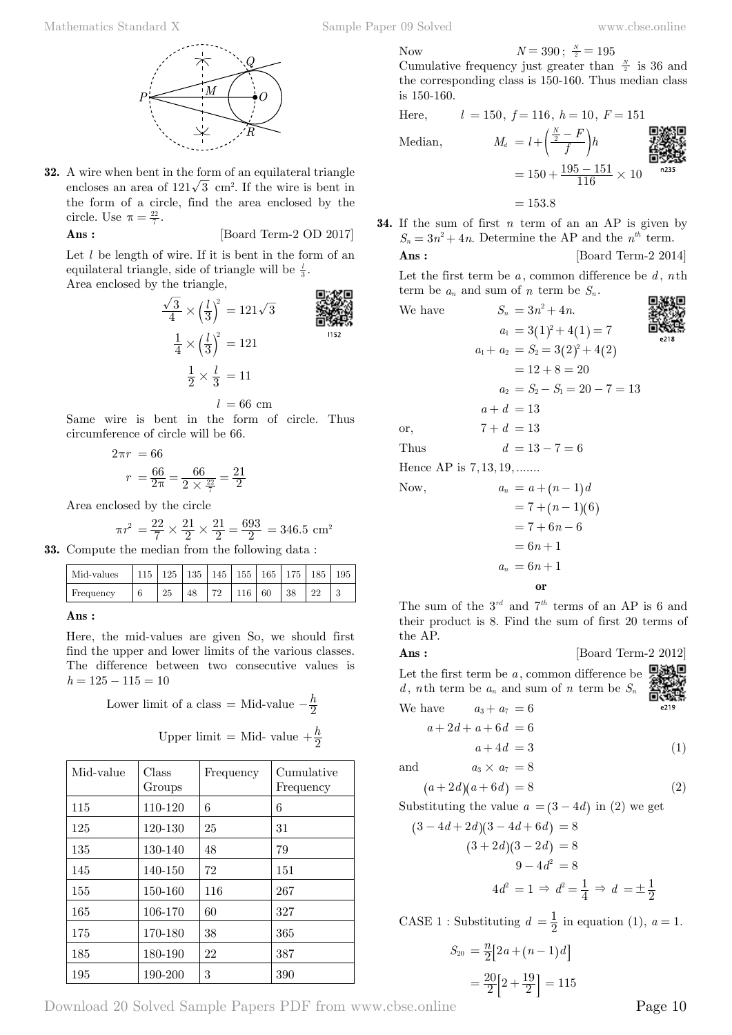

**32.** A wire when bent in the form of an equilateral triangle encloses an area of  $121\sqrt{3}$  cm<sup>2</sup>. If the wire is bent in the form of a circle, find the area enclosed by the circle. Use  $\pi = \frac{22}{7}$ .

$$
Ans: \qquad \qquad [\text{Board Term-2 OD 2017}]
$$

Let *l* be length of wire. If it is bent in the form of an equilateral triangle, side of triangle will be  $\frac{l}{3}$ . Area enclosed by the triangle, m-Arm

$$
\frac{\sqrt{3}}{4} \times \left(\frac{l}{3}\right)^2 = 121\sqrt{3}
$$
\n
$$
\frac{1}{4} \times \left(\frac{l}{3}\right)^2 = 121
$$
\n
$$
\frac{1}{2} \times \frac{l}{3} = 11
$$
\n152

 $l = 66$  cm

Same wire is bent in the form of circle. Thus circumference of circle will be 66.

$$
2\pi r = 66
$$

$$
r = \frac{66}{2\pi} = \frac{66}{2 \times \frac{22}{7}} = \frac{21}{2}
$$

Area enclosed by the circle

$$
\pi r^2 = \frac{22}{7} \times \frac{21}{2} \times \frac{21}{2} = \frac{693}{2} = 346.5
$$
 cm<sup>2</sup>

**33.** Compute the median from the following data :

| Mid-values | 115 |    |    | 125   135   145   155   165   175   185 |     |    |    |  |
|------------|-----|----|----|-----------------------------------------|-----|----|----|--|
| Frequency  | 6   | 25 | 48 | 79                                      | 116 | 60 | 38 |  |

### **Ans :**

Here, the mid-values are given So, we should first find the upper and lower limits of the various classes. The difference between two consecutive values is *h* = 125 − 115 = 10

Lower limit of a class = Mid-value 
$$
-\frac{h}{2}
$$
  
Upper limit = Mid-value  $+\frac{h}{2}$ 

| Mid-value | Class<br>Groups | Frequency | Cumulative<br>Frequency |
|-----------|-----------------|-----------|-------------------------|
| 115       | 110-120         | 6         | 6                       |
| 125       | 120-130         | 25        | 31                      |
| 135       | 130-140         | 48        | 79                      |
| 145       | 140-150         | 72        | 151                     |
| 155       | 150-160         | 116       | 267                     |
| 165       | 106-170         | 60        | 327                     |
| 175       | 170-180         | 38        | 365                     |
| 185       | 180-190         | 22        | 387                     |
| 195       | 190-200         | 3         | 390                     |

Now 
$$
N = 390
$$
;  $\frac{N}{2} = 195$ 

Cumulative frequency just greater than  $\frac{N}{2}$  is 36 and the corresponding class is 150-160. Thus median class is 150-160.

Here, 
$$
l = 150
$$
,  $f = 116$ ,  $h = 10$ ,  $F = 151$   
\nMedian,  $M_d = l + \left(\frac{\frac{N}{2} - F}{f}\right)h$   
\n $= 150 + \frac{195 - 151}{116} \times 10$   
\nAnswer 16.235

 $= 153.8$ 

**34.** If the sum of first *n* term of an an AP is given by  $S_n = 3n^2 + 4n$ . Determine the AP and the  $n^{th}$  term. **Ans :** [Board Term-2 2014]

Let the first term be *a* , common difference be *d* , *n*th term be  $a_n$  and sum of *n* term be  $S_n$ .

We have 
$$
S_n = 3n^2 + 4n.
$$
  
\n $a_1 = 3(1)^2 + 4(1) = 7$   
\n $a_1 + a_2 = S_2 = 3(2)^2 + 4(2)$   
\n $= 12 + 8 = 20$   
\n $a_2 = S_2 - S_1 = 20 - 7 = 13$   
\n $a + d = 13$   
\nor,  $7 + d = 13$   
\nThus  $d = 13 - 7 = 6$   
\nHence AP is 7, 13, 19, ......  
\nNow,  $a_n = a + (n - 1)d$   
\n $= 7 + (n - 1)(6)$   
\n $= 7 + 6n - 6$   
\n $= 6n + 1$   
\n $a_n = 6n + 1$   
\n $a_n = 6n + 1$ 

 **o**

The sum of the 3*rd* and 7*th* terms of an AP is 6 and their product is 8. Find the sum of first 20 terms of the AP.

$$
Ans: \qquad \qquad [\text{Board Term-2 2012}]
$$

Let the first term be  $a$ , common difference be  $\Box$ *d*, *n*th term be  $a_n$  and sum of *n* term be  $S_n$ We have  $a_3 + a_7 = 6$ 

$$
\begin{array}{c}\n\text{C.} \text{D} \\
\text{C.} \text{D} \\
\text{C.} \text{D} \\
\text{C.} \text{D} \\
\text{D} \\
\text{D} \\
\text{E.} \text{D} \\
\text{D} \\
\text{D} \\
\text{D} \\
\text{D} \\
\text{D} \\
\text{D} \\
\text{D} \\
\text{D} \\
\text{D} \\
\text{D} \\
\text{D} \\
\text{D} \\
\text{D} \\
\text{D} \\
\text{D} \\
\text{D} \\
\text{D} \\
\text{D} \\
\text{D} \\
\text{D} \\
\text{D} \\
\text{D} \\
\text{D} \\
\text{D} \\
\text{D} \\
\text{D} \\
\text{D} \\
\text{D} \\
\text{D} \\
\text{D} \\
\text{D} \\
\text{D} \\
\text{D} \\
\text{D} \\
\text{D} \\
\text{D} \\
\text{D} \\
\text{D} \\
\text{D} \\
\text{D} \\
\text{D} \\
\text{D} \\
\text{D} \\
\text{D} \\
\text{D} \\
\text{D} \\
\text{D} \\
\text{D} \\
\text{D} \\
\text{D} \\
\text{D} \\
\text{D} \\
\text{D} \\
\text{D} \\
\text{D} \\
\text{D} \\
\text{D} \\
\text{D} \\
\text{D} \\
\text{D} \\
\text{D} \\
\text{D} \\
\text{D} \\
\text{D} \\
\text{D} \\
\text{D} \\
\text{D} \\
\text{D} \\
\text{D} \\
\text{D} \\
\text{D} \\
\text{D} \\
\text{D} \\
\text{D} \\
\text{D} \\
\text{D} \\
\text{D} \\
\text{D} \\
\text{D} \\
\text{D} \\
\text{D} \\
\text{D} \\
\text{D} \\
\text{D} \\
\text{D} \\
\text{D} \\
\text{D} \\
\text{D} \\
\text{D} \\
\text{D} \\
\text{D} \\
\text{D} \\
\text{D} \\
\text{D} \\
\text{D} \\
\text{D} \\
\text{D} \\
\text{D} \\
\text{D} \\
\text{D} \\
\text{D} \\
\text{D} \\
\text{D} \\
\text{D} \\
\text{D} \\
\text{D} \\
\text{D} \\
\text{D} \\
\text{D} \\
\text{D} \\
\text{D} \\
\text{D} \\
\text{D} \\
\text
$$

$$
a+2d+a+6d = 6
$$
  

$$
a+4d = 3
$$
 (1)

and  $a_3 \times a_7 = 8$ 

$$
(a+2d)(a+6d) = 8 \tag{2}
$$

Substituting the value  $a = (3 - 4d)$  in (2) we get

$$
(3-4d+2d)(3-4d+6d) = 8
$$

$$
(3+2d)(3-2d) = 8
$$

$$
9-4d^{2} = 8
$$

$$
4d^{2} = 1 \Rightarrow d^{2} = \frac{1}{4} \Rightarrow d = \pm \frac{1}{2}
$$
ASE 1. Substituting  $d = \frac{1}{2}$  in equation (1)  $a = \frac{1}{2}$ 

CASE 1 : Substituting 
$$
d = \frac{1}{2}
$$
 in equation (1),  $a = 1$ .

$$
S_{20} = \frac{n}{2} [2a + (n-1)d]
$$

$$
= \frac{20}{2} [2 + \frac{19}{2}] = 115
$$

Download 20 Solved Sample Papers PDF from [www.cbse.online](http://www.cbse.online) Page 10